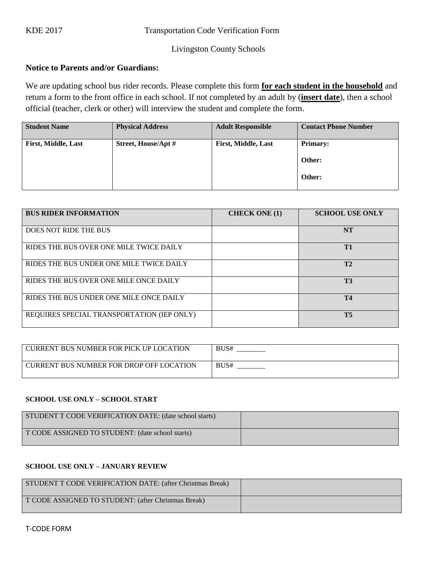## Livingston County Schools

# **Notice to Parents and/or Guardians:**

We are updating school bus rider records. Please complete this form **for each student in the household** and return a form to the front office in each school. If not completed by an adult by (**insert date**), then a school official (teacher, clerk or other) will interview the student and complete the form.

| <b>Student Name</b>        | <b>Physical Address</b> | <b>Adult Responsible</b>   | <b>Contact Phone Number</b> |
|----------------------------|-------------------------|----------------------------|-----------------------------|
| <b>First, Middle, Last</b> | Street, House/Apt #     | <b>First, Middle, Last</b> | <b>Primary:</b><br>Other:   |
|                            |                         |                            | Other:                      |
|                            |                         |                            |                             |

| <b>BUS RIDER INFORMATION</b>               | <b>CHECK ONE (1)</b> | <b>SCHOOL USE ONLY</b> |
|--------------------------------------------|----------------------|------------------------|
| DOES NOT RIDE THE BUS                      |                      | <b>NT</b>              |
| RIDES THE BUS OVER ONE MILE TWICE DAILY    |                      | T1                     |
| RIDES THE BUS UNDER ONE MILE TWICE DAILY   |                      | T2                     |
| RIDES THE BUS OVER ONE MILE ONCE DAILY     |                      | <b>T3</b>              |
| RIDES THE BUS UNDER ONE MILE ONCE DAILY    |                      | <b>T4</b>              |
| REQUIRES SPECIAL TRANSPORTATION (IEP ONLY) |                      | T <sub>5</sub>         |

| CURRENT BUS NUMBER FOR PICK UP LOCATION  | BUS# |
|------------------------------------------|------|
| CURRENT BUS NUMBER FOR DROP OFF LOCATION | BUS# |

#### **SCHOOL USE ONLY – SCHOOL START**

| STUDENT T CODE VERIFICATION DATE: (date school starts) |  |
|--------------------------------------------------------|--|
| T CODE ASSIGNED TO STUDENT: (date school starts)       |  |

### **SCHOOL USE ONLY – JANUARY REVIEW**

| STUDENT T CODE VERIFICATION DATE: (after Christmas Break) |  |
|-----------------------------------------------------------|--|
| T CODE ASSIGNED TO STUDENT: (after Christmas Break)       |  |